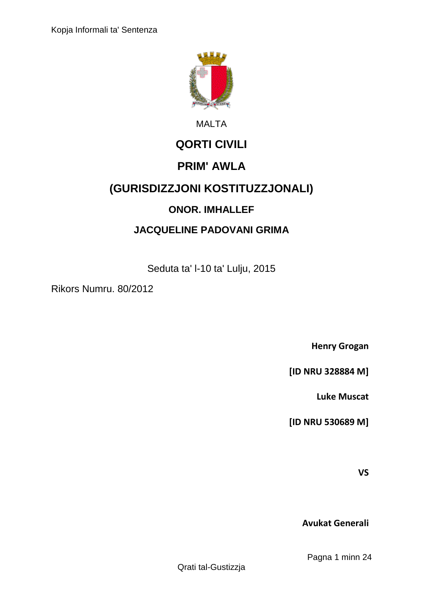

MALTA

## **QORTI CIVILI**

# **PRIM' AWLA**

# **(GURISDIZZJONI KOSTITUZZJONALI)**

### **ONOR. IMHALLEF**

### **JACQUELINE PADOVANI GRIMA**

Seduta ta' l-10 ta' Lulju, 2015

Rikors Numru. 80/2012

**Henry Grogan**

**[ID NRU 328884 M]**

**Luke Muscat**

**[ID NRU 530689 M]**

**VS**

**Avukat Generali**

Pagna 1 minn 24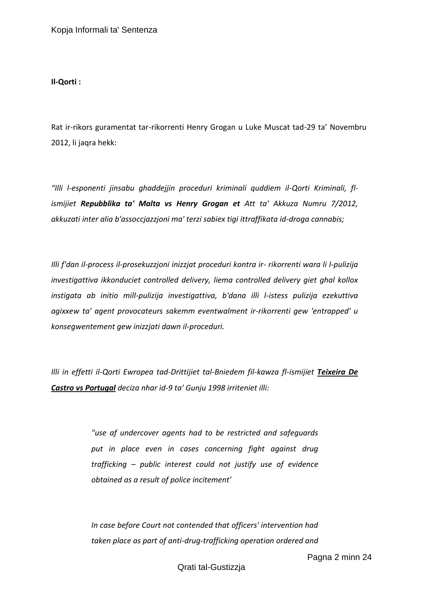### **Il-Qorti :**

Rat ir-rikors guramentat tar-rikorrenti Henry Grogan u Luke Muscat tad-29 ta' Novembru 2012, li jaqra hekk:

*"Illi l-esponenti jinsabu ghaddejjin proceduri kriminali quddiem il-Qorti Kriminali, flismijiet Repubblika ta' Malta vs Henry Grogan et Att ta' Akkuza Numru 7/2012, akkuzati inter alia b'assoccjazzjoni ma' terzi sabiex tigi ittraffikata id-droga cannabis;*

*Illi f'dan il-process il-prosekuzzjoni inizzjat proceduri kontra ir- rikorrenti wara li l-pulizija investigattiva ikkonduciet controlled delivery, liema controlled delivery giet ghal kollox instigata ab initio mill-pulizija investigattiva, b'dana illi l-istess pulizija ezekuttiva agixxew ta' agent provocateurs sakemm eventwalment ir-rikorrenti gew 'entrapped' u konsegwentement gew inizzjati dawn il-proceduri.*

*Illi in effetti il-Qorti Ewropea tad-Drittijiet tal-Bniedem fil-kawza fl-ismijiet Teixeira De Castro vs Portugal deciza nhar id-9 ta' Gunju 1998 irriteniet illi:*

> *"use af undercover agents had to be restricted and safeguards put in place even in cases concerning fight against drug trafficking – public interest could not justify use of evidence obtained as a result of police incitement'*

> *In case before Court not contended that officers' intervention had taken place as part of anti-drug-trafficking operation ordered and*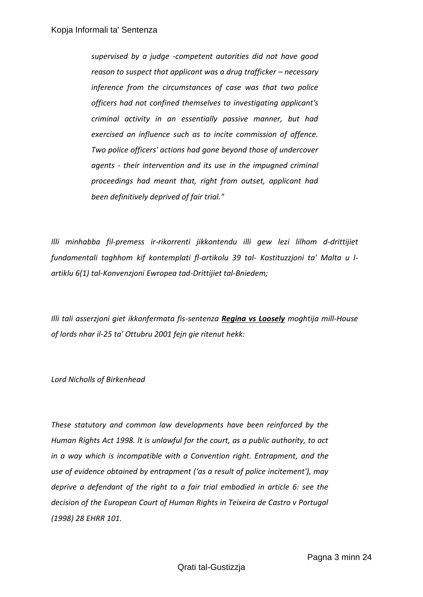*supervised by a judge -competent autorities did not have good reason to suspect that applicant was a drug trafficker – necessary inference from the circumstances of case was that two police officers had not confined themselves to investigating applicant's criminal activity in an essentially passive manner, but had exercised an influence such as to incite commission of offence. Two police officers' actions had gone beyond those of undercover agents - their intervention and its use in the impugned criminal proceedings had meant that, right from outset, applicant had been definitively deprived of fair trial."*

*Illi minhabba fil-premess ir-rikorrenti jikkontendu illi gew lezi lilhom d-drittijiet fundamentali taghhom kif kontemplati fl-artikolu 39 tal- Kostituzzjoni ta' Malta u lartiklu 6(1) tal-Konvenzjoni Ewropea tad-Drittijiet tal-Bniedem;*

*Illi tali asserzjoni giet ikkonfermata fis-sentenza Regina vs Loosely moghtija mill-House of lords nhar il-25 ta' Ottubru 2001 fejn gie ritenut hekk:*

*Lord Nicholls of Birkenhead*

*These statutory and common law developments have been reinforced by the Human Rights Act 1998. lt is unlawful for the court, as a public authority, to act in a way which is incompatible with a Convention right. Entrapment, and the use of evidence obtained by entrapment ('as a result of police incitement'), may deprive a defendant of the right to a fair trial embodied in article 6: see the decision of the European Court of Human Rights in Teixeira de Castro v Portugal (1998) 28 EHRR 101.*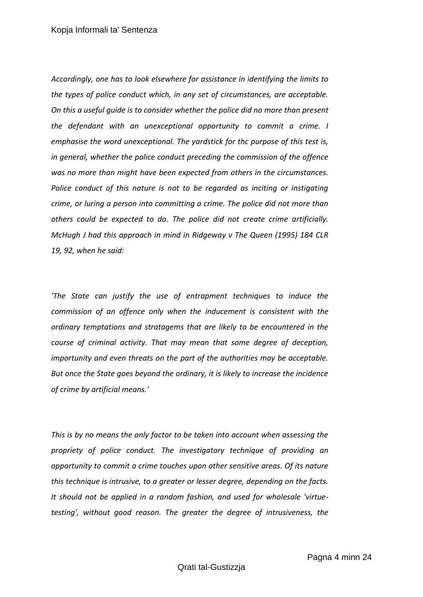*Accordingly, one has to look elsewhere for assistance in identifying the limits to the types of police conduct which, in any set of circumstances, are acceptable. On this a useful guide is to consider whether the police did no more than present the defendant with an unexceptional opportunity to commit a crime. I emphasise the word unexceptional. The yardstick for thc purpose of this test is, in general, whether the police conduct preceding the commission of the offence was no more than might have been expected from others in the circumstances.*  Police conduct of this nature is not to be regarded as inciting or instigating *crime, or luring a person into committing a crime. The police did not more than others could be expected to do. The police did not create crime artificially. McHugh J had this approach in mind in Ridgeway v The Queen (1995) 184 CLR 19, 92, when he said:*

*'The State can justify the use of entrapment techniques to induce the commission of an offence only when the inducement is consistent with the ordinary temptations and stratagems that are likely to be encountered in the course of criminal activity. That may mean that some degree of deception, importunity and even threats on the part of the authorities may be acceptable. But once the State goes beyond the ordinary, it is likely to increase the incidence of crime by artificial means.'*

*This is by no means the only factor to be taken into account when assessing the propriety of police conduct. The investigatory technique of providing an opportunity to commit a crime touches upon other sensitive areas. Of its nature this technique is intrusive, to a greater or lesser degree, depending on the facts. It should not be applied in a random fashion, and used for wholesale 'virtuetesting', without good reason. The greater the degree of intrusiveness, the*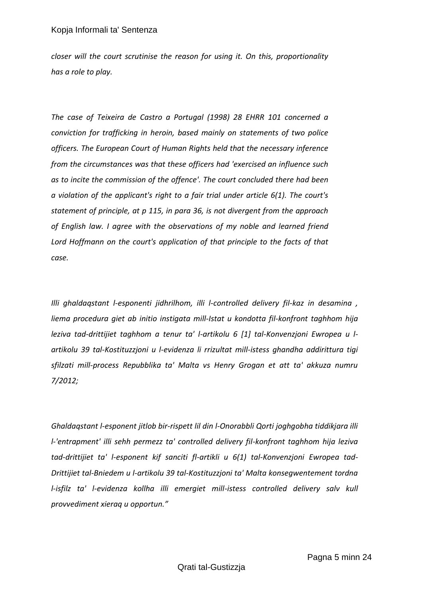*closer will the court scrutinise the reason for using it. On this, proportionality has a role to play.*

*The case of Teixeira de Castro a Portugal (1998) 28 EHRR 101 concerned a conviction for trafficking in heroin, based mainly on statements of two police officers. The European Court of Human Rights held that the necessary inference from the circumstances was that these officers had 'exercised an influence such as to incite the commission of the offence'. The court concluded there had been a violation of the applicant's right to a fair trial under article 6(1). The court's statement of principle, at p 115, in para 36, is not divergent from the approach of English law. I agree with the observations of my noble and learned friend Lord Hoffmann on the court's application of that principle to the facts of that case.*

*Illi ghaldaqstant l-esponenti jidhrilhom, illi l-controlled delivery fil-kaz in desamina , liema procedura giet ab initio instigata mill-Istat u kondotta fil-konfront taghhom hija leziva tad-drittijiet taghhom a tenur ta' l-artikolu 6 [1] tal-Konvenzjoni Ewropea u lartikolu 39 tal-Kostituzzjoni u l-evidenza li rrizultat mill-istess ghandha addirittura tigi sfilzati mill-process Repubblika ta' Malta vs Henry Grogan et att ta' akkuza numru 7/2012;*

*Ghaldaqstant l-esponent jitlob bir-rispett lil din l-Onorabbli Qorti joghgobha tiddikjara illi l-'entrapment' illi sehh permezz ta' controlled delivery fil-konfront taghhom hija leziva tad-drittijiet ta' l-esponent kif sanciti fl-artikli u 6(1) tal-Konvenzjoni Ewropea tad-Drittijiet tal-Bniedem u l-artikolu 39 tal-Kostituzzjoni ta' Malta konsegwentement tordna l-isfilz ta' l-evidenza kollha illi emergiet mill-istess controlled delivery salv kull provvediment xieraq u opportun."*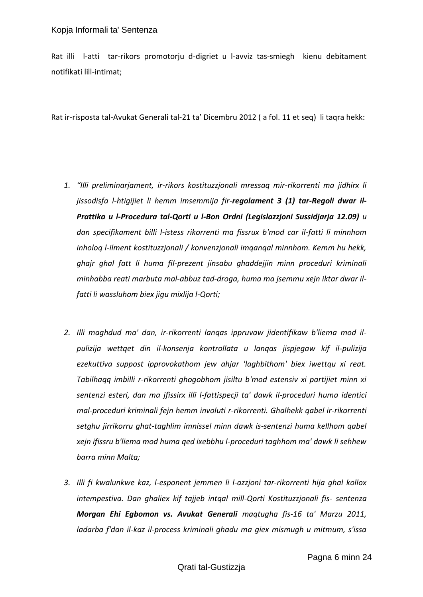Rat illi l-atti tar-rikors promotorju d-digriet u l-avviz tas-smiegh kienu debitament notifikati lill-intimat;

Rat ir-risposta tal-Avukat Generali tal-21 ta' Dicembru 2012 ( a fol. 11 et seq) li taqra hekk:

- *1. "Illi preliminarjament, ir-rikors kostituzzjonali mressaq mir-rikorrenti ma jidhirx li jissodisfa l-htigijiet li hemm imsemmija fir-regolament 3 (1) tar-Regoli dwar il-Prattika u l-Procedura tal-Qorti u l-Bon Ordni (Legislazzjoni Sussidjarja 12.09) u dan specifikament billi l-istess rikorrenti ma fissrux b'mod car il-fatti li minnhom inholoq l-ilment kostituzzjonali / konvenzjonali imqanqal minnhom. Kemm hu hekk, ghajr ghal fatt li huma fil-prezent jinsabu ghaddejjin minn proceduri kriminali minhabba reati marbuta mal-abbuz tad-droga, huma ma jsemmu xejn iktar dwar ilfatti li wassluhom biex jigu mixlija l-Qorti;*
- *2. Illi maghdud ma' dan, ir-rikorrenti lanqas ippruvaw jidentifikaw b'liema mod ilpulizija wettqet din il-konsenja kontrollata u lanqas jispjegaw kif il-pulizija ezekuttiva suppost ipprovokathom jew ahjar 'laghbithom' biex iwettqu xi reat. Tabilhaqq imbilli r-rikorrenti ghogobhom jisiltu b'mod estensiv xi partijiet minn xi sentenzi esteri, dan ma jfissirx illi l-fattispecji ta' dawk il-proceduri huma identici mal-proceduri kriminali fejn hemm involuti r-rikorrenti. Ghalhekk qabel ir-rikorrenti setghu jirrikorru ghat-taghlim imnissel minn dawk is-sentenzi huma kellhom qabel xejn ifissru b'liema mod huma qed ixebbhu l-proceduri taghhom ma' dawk li sehhew barra minn Malta;*
- *3. Illi fi kwalunkwe kaz, l-esponent jemmen li l-azzjoni tar-rikorrenti hija ghal kollox intempestiva. Dan ghaliex kif tajjeb intqal mill-Qorti Kostituzzjonali fis- sentenza Morgan Ehi Egbomon vs. Avukat Generali maqtugha fis-16 ta' Marzu 2011, ladarba f'dan il-kaz il-process kriminali ghadu ma giex mismugh u mitmum, s'issa*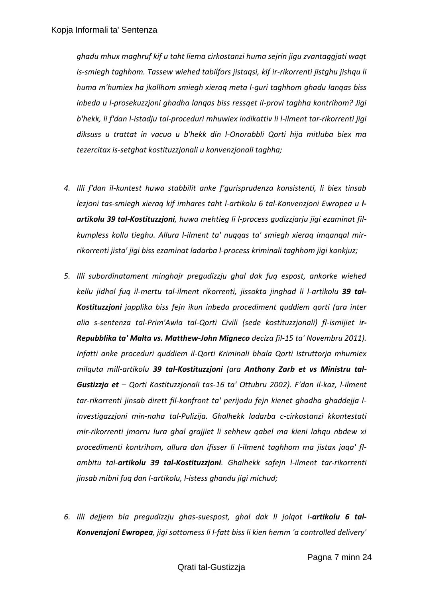*ghadu mhux maghruf kif u taht liema cirkostanzi huma sejrin jigu zvantaggjati waqt is-smiegh taghhom. Tassew wiehed tabilfors jistaqsi, kif ir-rikorrenti jistghu jishqu li huma m'humiex ha jkollhom smiegh xieraq meta l-guri taghhom ghadu lanqas biss inbeda u l-prosekuzzjoni ghadha lanqas biss ressqet il-provi taghha kontrihom? Jigi b'hekk, li f'dan l-istadju tal-proceduri mhuwiex indikattiv li l-ilment tar-rikorrenti jigi diksuss u trattat in vacuo u b'hekk din l-Onorabbli Qorti hija mitluba biex ma tezercitax is-setghat kostituzzjonali u konvenzjonali taghha;*

- *4. Illi f'dan il-kuntest huwa stabbilit anke f'gurisprudenza konsistenti, li biex tinsab lezjoni tas-smiegh xieraq kif imhares taht l-artikolu 6 tal-Konvenzjoni Ewropea u lartikolu 39 tal-Kostituzzjoni, huwa mehtieg li l-process gudizzjarju jigi ezaminat filkumpless kollu tieghu. Allura l-ilment ta' nuqqas ta' smiegh xieraq imqanqal mirrikorrenti jista' jigi biss ezaminat ladarba l-process kriminali taghhom jigi konkjuz;*
- *5. Illi subordinatament minghajr pregudizzju ghal dak fuq espost, ankorke wiehed kellu jidhol fuq il-mertu tal-ilment rikorrenti, jissokta jinghad li l-artikolu 39 tal-Kostituzzjoni japplika biss fejn ikun inbeda procediment quddiem qorti (ara inter alia s-sentenza tal-Prim'Awla tal-Qorti Civili (sede kostituzzjonali) fl-ismijiet ir-Repubblika ta' Malta vs. Matthew-John Migneco deciza fil-15 ta' Novembru 2011). Infatti anke proceduri quddiem il-Qorti Kriminali bhala Qorti Istruttorja mhumiex milquta mill-artikolu 39 tal-Kostituzzjoni (ara Anthony Zarb et vs Ministru tal-Gustizzja et – Qorti Kostituzzjonali tas-16 ta' Ottubru 2002). F'dan il-kaz, l-ilment tar-rikorrenti jinsab dirett fil-konfront ta' perijodu fejn kienet ghadha ghaddejja linvestigazzjoni min-naha tal-Pulizija. Ghalhekk ladarba c-cirkostanzi kkontestati mir-rikorrenti jmorru lura ghal grajjiet li sehhew qabel ma kieni lahqu nbdew xi procedimenti kontrihom, allura dan ifisser li l-ilment taghhom ma jistax jaqa' flambitu tal-artikolu 39 tal-Kostituzzjoni. Ghalhekk safejn l-ilment tar-rikorrenti jinsab mibni fuq dan l-artikolu, l-istess ghandu jigi michud;*
- *6. Illi dejjem bla pregudizzju ghas-suespost, ghal dak li jolqot l-artikolu 6 tal-Konvenzjoni Ewropea, jigi sottomess li l-fatt biss li kien hemm 'a controlled delivery'*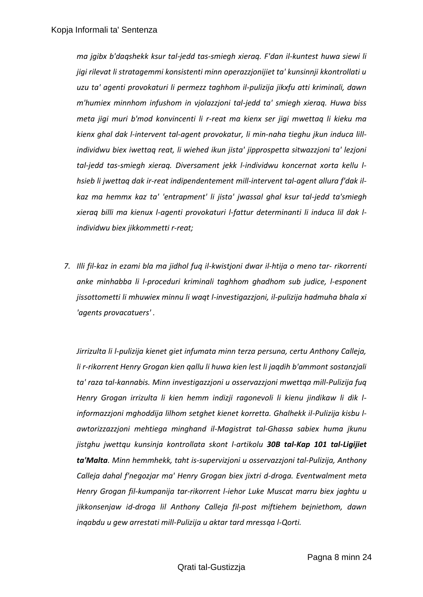*ma jgibx b'daqshekk ksur tal-jedd tas-smiegh xieraq. F'dan il-kuntest huwa siewi li jigi rilevat li stratagemmi konsistenti minn operazzjonijiet ta' kunsinnji kkontrollati u uzu ta' agenti provokaturi li permezz taghhom il-pulizija jikxfu atti kriminali, dawn m'humiex minnhom infushom in vjolazzjoni tal-jedd ta' smiegh xieraq. Huwa biss meta jigi muri b'mod konvincenti li r-reat ma kienx ser jigi mwettaq li kieku ma kienx ghal dak l-intervent tal-agent provokatur, li min-naha tieghu jkun induca lillindividwu biex iwettaq reat, li wiehed ikun jista' jipprospetta sitwazzjoni ta' lezjoni tal-jedd tas-smiegh xieraq. Diversament jekk l-individwu koncernat xorta kellu lhsieb li jwettaq dak ir-reat indipendentement mill-intervent tal-agent allura f'dak ilkaz ma hemmx kaz ta' 'entrapment' li jista' jwassal ghal ksur tal-jedd ta'smiegh xieraq billi ma kienux l-agenti provokaturi l-fattur determinanti li induca lil dak lindividwu biex jikkommetti r-reat;*

*7. Illi fil-kaz in ezami bla ma jidhol fuq il-kwistjoni dwar il-htija o meno tar- rikorrenti anke minhabba li l-proceduri kriminali taghhom ghadhom sub judice, l-esponent jissottometti li mhuwiex minnu li waqt l-investigazzjoni, il-pulizija hadmuha bhala xi 'agents provacatuers' .*

*Jirrizulta li l-pulizija kienet giet infumata minn terza persuna, certu Anthony Calleja, li r-rikorrent Henry Grogan kien qallu li huwa kien lest li jaqdih b'ammont sostanzjali ta' raza tal-kannabis. Minn investigazzjoni u osservazzjoni mwettqa mill-Pulizija fuq Henry Grogan irrizulta li kien hemm indizji ragonevoli li kienu jindikaw li dik linformazzjoni mghoddija lilhom setghet kienet korretta. Ghalhekk il-Pulizija kisbu lawtorizzazzjoni mehtiega minghand il-Magistrat tal-Ghassa sabiex huma jkunu jistghu jwettqu kunsinja kontrollata skont l-artikolu 30B tal-Kap 101 tal-Ligijiet ta'Malta. Minn hemmhekk, taht is-supervizjoni u osservazzjoni tal-Pulizija, Anthony Calleja dahal f'negozjar ma' Henry Grogan biex jixtri d-droga. Eventwalment meta Henry Grogan fil-kumpanija tar-rikorrent l-iehor Luke Muscat marru biex jaghtu u jikkonsenjaw id-droga lil Anthony Calleja fil-post miftiehem bejniethom, dawn inqabdu u gew arrestati mill-Pulizija u aktar tard mressqa l-Qorti.*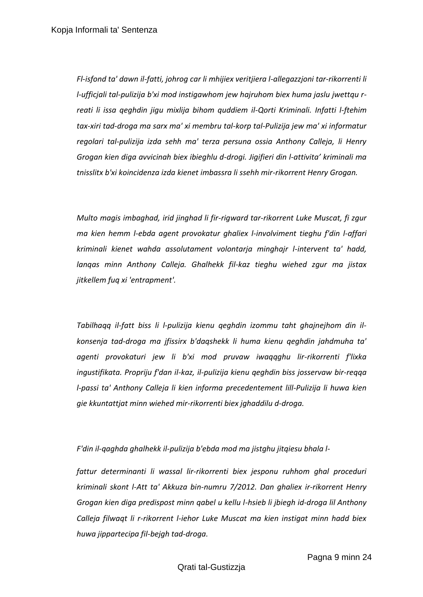*Fl-isfond ta' dawn il-fatti, johrog car li mhijiex veritjiera l-allegazzjoni tar-rikorrenti li l-ufficjali tal-pulizija b'xi mod instigawhom jew hajruhom biex huma jaslu jwettqu rreati li issa qeghdin jigu mixlija bihom quddiem il-Qorti Kriminali. Infatti l-ftehim tax-xiri tad-droga ma sarx ma' xi membru tal-korp tal-Pulizija jew ma' xi informatur regolari tal-pulizija izda sehh ma' terza persuna ossia Anthony Calleja, li Henry Grogan kien diga avvicinah biex ibieghlu d-drogi. Jigifieri din l-attivita' kriminali ma tnisslitx b'xi koincidenza izda kienet imbassra li ssehh mir-rikorrent Henry Grogan.*

*Multo magis imbaghad, irid jinghad li fir-rigward tar-rikorrent Luke Muscat, fi zgur ma kien hemm l-ebda agent provokatur ghaliex l-involviment tieghu f'din l-affari kriminali kienet wahda assolutament volontarja minghajr l-intervent ta' hadd, lanqas minn Anthony Calleja. Ghalhekk fil-kaz tieghu wiehed zgur ma jistax jitkellem fuq xi 'entrapment'.*

*Tabilhaqq il-fatt biss li l-pulizija kienu qeghdin izommu taht ghajnejhom din ilkonsenja tad-droga ma jfissirx b'daqshekk li huma kienu qeghdin jahdmuha ta' agenti provokaturi jew li b'xi mod pruvaw iwaqqghu lir-rikorrenti f'lixka ingustifikata. Propriju f'dan il-kaz, il-pulizija kienu qeghdin biss josservaw bir-reqqa l-passi ta' Anthony Calleja li kien informa precedentement lill-Pulizija li huwa kien gie kkuntattjat minn wiehed mir-rikorrenti biex jghaddilu d-droga.*

*F'din il-qaghda ghalhekk il-pulizija b'ebda mod ma jistghu jitqiesu bhala l-*

*fattur determinanti li wassal lir-rikorrenti biex jesponu ruhhom ghal proceduri kriminali skont l-Att ta' Akkuza bin-numru 7/2012. Dan ghaliex ir-rikorrent Henry Grogan kien diga predispost minn qabel u kellu l-hsieb li jbiegh id-droga lil Anthony Calleja filwaqt li r-rikorrent l-iehor Luke Muscat ma kien instigat minn hadd biex huwa jippartecipa fil-bejgh tad-droga.*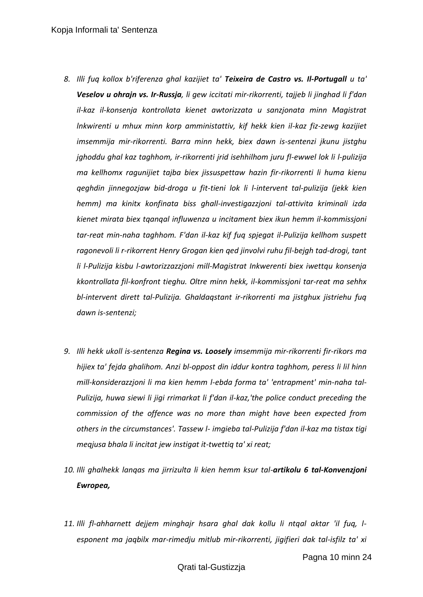- *8. Illi fuq kollox b'riferenza ghal kazijiet ta' Teixeira de Castro vs. Il-Portugall u ta' Veselov u ohrajn vs. Ir-Russja, li gew iccitati mir-rikorrenti, tajjeb li jinghad li f'dan il-kaz il-konsenja kontrollata kienet awtorizzata u sanzjonata minn Magistrat lnkwirenti u mhux minn korp amministattiv, kif hekk kien il-kaz fiz-zewg kazijiet imsemmija mir-rikorrenti. Barra minn hekk, biex dawn is-sentenzi jkunu jistghu jghoddu ghal kaz taghhom, ir-rikorrenti jrid isehhilhom juru fl-ewwel lok li l-pulizija ma kellhomx ragunijiet tajba biex jissuspettaw hazin fir-rikorrenti li huma kienu qeghdin jinnegozjaw bid-droga u fit-tieni lok li l-intervent tal-pulizija (jekk kien hemm) ma kinitx konfinata biss ghall-investigazzjoni tal-attivita kriminali izda kienet mirata biex tqanqal influwenza u incitament biex ikun hemm il-kommissjoni tar-reat min-naha taghhom. F'dan il-kaz kif fuq spjegat il-Pulizija kellhom suspett ragonevoli li r-rikorrent Henry Grogan kien qed jinvolvi ruhu fil-bejgh tad-drogi, tant li l-Pulizija kisbu l-awtorizzazzjoni mill-Magistrat Inkwerenti biex iwettqu konsenja kkontrollata fil-konfront tieghu. Oltre minn hekk, il-kommissjoni tar-reat ma sehhx bl-intervent dirett tal-Pulizija. Ghaldaqstant ir-rikorrenti ma jistghux jistriehu fuq dawn is-sentenzi;*
- *9. Illi hekk ukoll is-sentenza Regina vs. Loosely imsemmija mir-rikorrenti fir-rikors ma hijiex ta' fejda ghalihom. Anzi bl-oppost din iddur kontra taghhom, peress li lil hinn mill-konsiderazzjoni li ma kien hemm l-ebda forma ta' 'entrapment' min-naha tal-Pulizija, huwa siewi li jigi rrimarkat li f'dan il-kaz,'the police conduct preceding the commission of the offence was no more than might have been expected from others in the circumstances'. Tassew l- imgieba tal-Pulizija f'dan il-kaz ma tistax tigi meqjusa bhala li incitat jew instigat it-twettiq ta' xi reat;*
- *10. Illi ghalhekk lanqas ma jirrizulta li kien hemm ksur tal-artikolu 6 tal-Konvenzjoni Ewropea,*
- *11. Illi fl-ahharnett dejjem minghajr hsara ghal dak kollu li ntqal aktar 'il fuq, lesponent ma jaqbilx mar-rimedju mitlub mir-rikorrenti, jigifieri dak tal-isfilz ta' xi*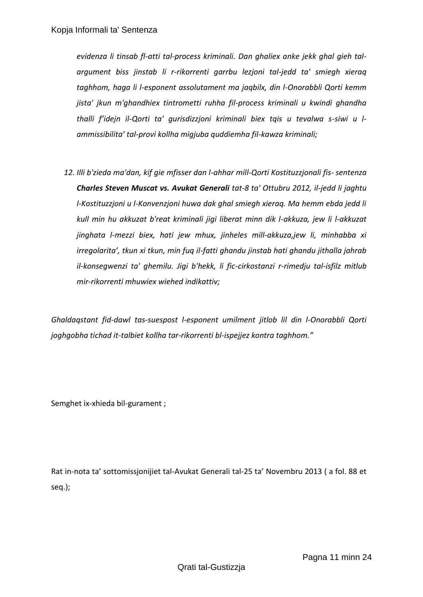*evidenza li tinsab fl-atti tal-process kriminali. Dan ghaliex anke jekk ghal gieh talargument biss jinstab li r-rikorrenti garrbu lezjoni tal-jedd ta' smiegh xieraq taghhom, haga li l-esponent assolutament ma jaqbilx, din l-Onorabbli Qorti kemm jista' jkun m'ghandhiex tintrometti ruhha fil-process kriminali u kwindi ghandha thalli f'idejn il-Qorti ta' gurisdizzjoni kriminali biex tqis u tevalwa s-siwi u lammissibilita' tal-provi kollha migjuba quddiemha fil-kawza kriminali;*

*12. Illi b'zieda ma'dan, kif gie mfisser dan l-ahhar mill-Qorti Kostituzzjonali fis- sentenza Charles Steven Muscat vs. Avukat Generali tat-8 ta' Ottubru 2012, il-jedd li jaghtu l-Kostituzzjoni u l-Konvenzjoni huwa dak ghal smiegh xieraq. Ma hemm ebda jedd li kull min hu akkuzat b'reat kriminali jigi liberat minn dik l-akkuza, jew li l-akkuzat jinghata l-mezzi biex, hati jew mhux, jinheles mill-akkuza,jew li, minhabba xi irregolarita', tkun xi tkun, min fuq il-fatti ghandu jinstab hati ghandu jithalla jahrab il-konsegwenzi ta' ghemilu. Jigi b'hekk, li fic-cirkostanzi r-rimedju tal-isfilz mitlub mir-rikorrenti mhuwiex wiehed indikattiv;*

*Ghaldaqstant fid-dawl tas-suespost l-esponent umilment jitlob lil din l-Onorabbli Qorti joghgobha tichad it-talbiet kollha tar-rikorrenti bl-ispejjez kontra taghhom."*

Semghet ix-xhieda bil-gurament ;

Rat in-nota ta' sottomissjonijiet tal-Avukat Generali tal-25 ta' Novembru 2013 ( a fol. 88 et seq.);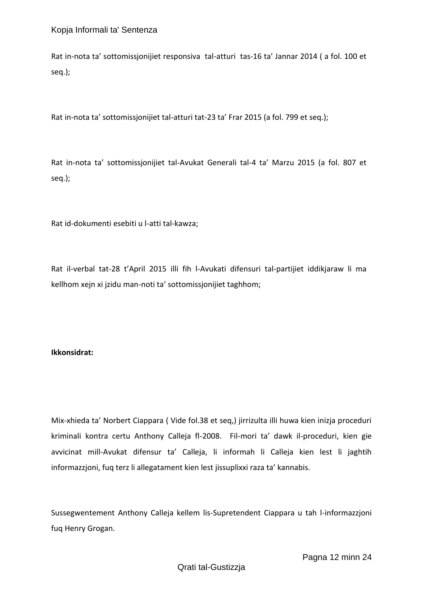Kopja Informali ta' Sentenza

Rat in-nota ta' sottomissjonijiet responsiva tal-atturi tas-16 ta' Jannar 2014 ( a fol. 100 et seq.);

Rat in-nota ta' sottomissjonijiet tal-atturi tat-23 ta' Frar 2015 (a fol. 799 et seq.);

Rat in-nota ta' sottomissjonijiet tal-Avukat Generali tal-4 ta' Marzu 2015 (a fol. 807 et seq.);

Rat id-dokumenti esebiti u l-atti tal-kawza;

Rat il-verbal tat-28 t'April 2015 illi fih l-Avukati difensuri tal-partijiet iddikjaraw li ma kellhom xejn xi jzidu man-noti ta' sottomissjonijiet taghhom;

**Ikkonsidrat:**

Mix-xhieda ta' Norbert Ciappara ( Vide fol.38 et seq,) jirrizulta illi huwa kien inizja proceduri kriminali kontra certu Anthony Calleja fl-2008. Fil-mori ta' dawk il-proceduri, kien gie avvicinat mill-Avukat difensur ta' Calleja, li informah li Calleja kien lest li jaghtih informazzjoni, fuq terz li allegatament kien lest jissuplixxi raza ta' kannabis.

Sussegwentement Anthony Calleja kellem lis-Supretendent Ciappara u tah l-informazzjoni fuq Henry Grogan.

Pagna 12 minn 24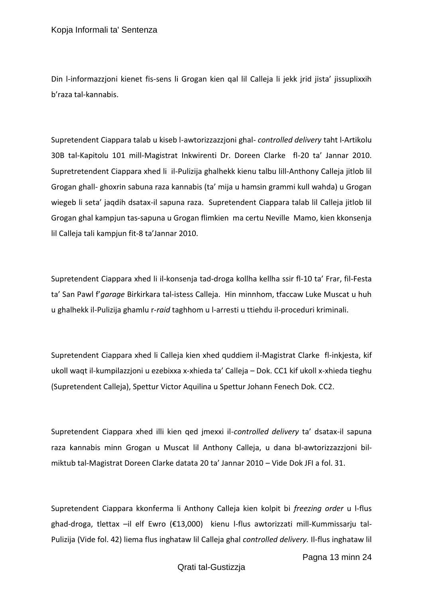Din l-informazzjoni kienet fis-sens li Grogan kien qal lil Calleja li jekk jrid jista' jissuplixxih b'raza tal-kannabis.

Supretendent Ciappara talab u kiseb l-awtorizzazzjoni ghal- *controlled delivery* taht l-Artikolu 30B tal-Kapitolu 101 mill-Magistrat Inkwirenti Dr. Doreen Clarke fl-20 ta' Jannar 2010. Supretretendent Ciappara xhed li il-Pulizija ghalhekk kienu talbu lill-Anthony Calleja jitlob lil Grogan ghall- ghoxrin sabuna raza kannabis (ta' mija u hamsin grammi kull wahda) u Grogan wiegeb li seta' jaqdih dsatax-il sapuna raza. Supretendent Ciappara talab lil Calleja jitlob lil Grogan ghal kampjun tas-sapuna u Grogan flimkien ma certu Neville Mamo, kien kkonsenja lil Calleja tali kampjun fit-8 ta'Jannar 2010.

Supretendent Ciappara xhed li il-konsenja tad-droga kollha kellha ssir fl-10 ta' Frar, fil-Festa ta' San Pawl f'*garage* Birkirkara tal-istess Calleja. Hin minnhom, tfaccaw Luke Muscat u huh u ghalhekk il-Pulizija ghamlu r-*raid* taghhom u l-arresti u ttiehdu il-proceduri kriminali.

Supretendent Ciappara xhed li Calleja kien xhed quddiem il-Magistrat Clarke fl-inkjesta, kif ukoll waqt il-kumpilazzjoni u ezebixxa x-xhieda ta' Calleja – Dok. CC1 kif ukoll x-xhieda tieghu (Supretendent Calleja), Spettur Victor Aquilina u Spettur Johann Fenech Dok. CC2.

Supretendent Ciappara xhed illi kien qed jmexxi il-*controlled delivery* ta' dsatax-il sapuna raza kannabis minn Grogan u Muscat lil Anthony Calleja, u dana bl-awtorizzazzjoni bilmiktub tal-Magistrat Doreen Clarke datata 20 ta' Jannar 2010 – Vide Dok JFI a fol. 31.

Supretendent Ciappara kkonferma li Anthony Calleja kien kolpit bi *freezing order* u l-flus ghad-droga, tlettax –il elf Ewro (€13,000) kienu l-flus awtorizzati mill-Kummissarju tal-Pulizija (Vide fol. 42) liema flus inghataw lil Calleja ghal *controlled delivery.* Il-flus inghataw lil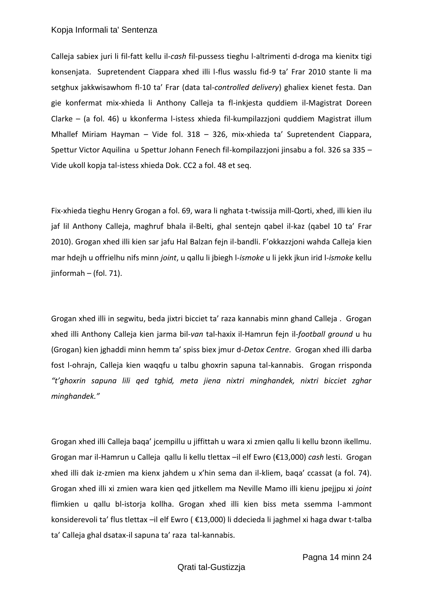#### Kopja Informali ta' Sentenza

Calleja sabiex juri li fil-fatt kellu il-*cash* fil-pussess tieghu l-altrimenti d-droga ma kienitx tigi konsenjata. Supretendent Ciappara xhed illi l-flus wasslu fid-9 ta' Frar 2010 stante li ma setghux jakkwisawhom fl-10 ta' Frar (data tal-*controlled delivery*) ghaliex kienet festa. Dan gie konfermat mix-xhieda li Anthony Calleja ta fl-inkjesta quddiem il-Magistrat Doreen Clarke – (a fol. 46) u kkonferma l-istess xhieda fil-kumpilazzjoni quddiem Magistrat illum Mhallef Miriam Hayman – Vide fol. 318 – 326, mix-xhieda ta' Supretendent Ciappara, Spettur Victor Aquilina u Spettur Johann Fenech fil-kompilazzjoni jinsabu a fol. 326 sa 335 – Vide ukoll kopja tal-istess xhieda Dok. CC2 a fol. 48 et seq.

Fix-xhieda tieghu Henry Grogan a fol. 69, wara li nghata t-twissija mill-Qorti, xhed, illi kien ilu jaf lil Anthony Calleja, maghruf bhala il-Belti, ghal sentejn qabel il-kaz (qabel 10 ta' Frar 2010). Grogan xhed illi kien sar jafu Hal Balzan fejn il-bandli. F'okkazzjoni wahda Calleja kien mar hdejh u offrielhu nifs minn *joint*, u qallu li jbiegh l-*ismoke* u li jekk jkun irid l-*ismoke* kellu jinformah – (fol. 71).

Grogan xhed illi in segwitu, beda jixtri bicciet ta' raza kannabis minn ghand Calleja . Grogan xhed illi Anthony Calleja kien jarma bil-*van* tal-haxix il-Hamrun fejn il-*football ground* u hu (Grogan) kien jghaddi minn hemm ta' spiss biex jmur d-*Detox Centre*. Grogan xhed illi darba fost l-ohrajn, Calleja kien waqqfu u talbu ghoxrin sapuna tal-kannabis. Grogan rrisponda *"t'ghoxrin sapuna lili qed tghid, meta jiena nixtri minghandek, nixtri bicciet zghar minghandek."*

Grogan xhed illi Calleja baqa' jcempillu u jiffittah u wara xi zmien qallu li kellu bzonn ikellmu. Grogan mar il-Hamrun u Calleja qallu li kellu tlettax –il elf Ewro (€13,000) *cash* lesti. Grogan xhed illi dak iz-zmien ma kienx jahdem u x'hin sema dan il-kliem, baqa' ccassat (a fol. 74). Grogan xhed illi xi zmien wara kien qed jitkellem ma Neville Mamo illi kienu jpejjpu xi *joint* flimkien u qallu bl-istorja kollha. Grogan xhed illi kien biss meta ssemma l-ammont konsiderevoli ta' flus tlettax –il elf Ewro ( €13,000) li ddecieda li jaghmel xi haga dwar t-talba ta' Calleja ghal dsatax-il sapuna ta' raza tal-kannabis.

Pagna 14 minn 24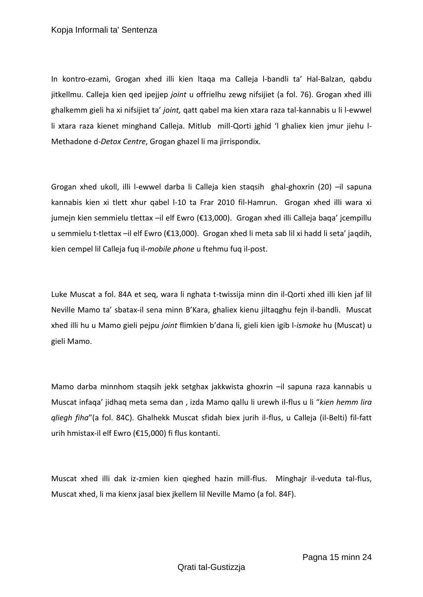In kontro-ezami, Grogan xhed illi kien ltaqa ma Calleja l-bandli ta' Hal-Balzan, qabdu jitkellmu. Calleja kien qed ipejjep *joint* u offrielhu zewg nifsijiet (a fol. 76). Grogan xhed illi ghalkemm gieli ha xi nifsijiet ta' *joint,* qatt qabel ma kien xtara raza tal-kannabis u li l-ewwel li xtara raza kienet minghand Calleja. Mitlub mill-Qorti jghid 'l ghaliex kien jmur jiehu l-Methadone d-*Detox Centre*, Grogan ghazel li ma jirrispondix.

Grogan xhed ukoll, illi l-ewwel darba li Calleja kien staqsih ghal-ghoxrin (20) –il sapuna kannabis kien xi tlett xhur qabel l-10 ta Frar 2010 fil-Hamrun. Grogan xhed illi wara xi jumejn kien semmielu tlettax –il elf Ewro (€13,000). Grogan xhed illi Calleja baqa' jcempillu u semmielu t-tlettax –il elf Ewro (€13,000). Grogan xhed li meta sab lil xi hadd li seta' jaqdih, kien cempel lil Calleja fuq il-*mobile phone* u ftehmu fuq il-post.

Luke Muscat a fol. 84A et seq, wara li nghata t-twissija minn din il-Qorti xhed illi kien jaf lil Neville Mamo ta' sbatax-il sena minn B'Kara, ghaliex kienu jiltaqghu fejn il-bandli. Muscat xhed illi hu u Mamo gieli pejpu *joint* flimkien b'dana li, gieli kien igib l-*ismoke* hu (Muscat) u gieli Mamo.

Mamo darba minnhom staqsih jekk setghax jakkwista ghoxrin –il sapuna raza kannabis u Muscat infaqa' jidhaq meta sema dan , izda Mamo qallu li urewh il-flus u li "*kien hemm lira qliegh fiha*"(a fol. 84C). Ghalhekk Muscat sfidah biex jurih il-flus, u Calleja (il-Belti) fil-fatt urih hmistax-il elf Ewro (€15,000) fi flus kontanti.

Muscat xhed illi dak iz-zmien kien qieghed hazin mill-flus. Minghajr il-veduta tal-flus, Muscat xhed, li ma kienx jasal biex jkellem lil Neville Mamo (a fol. 84F).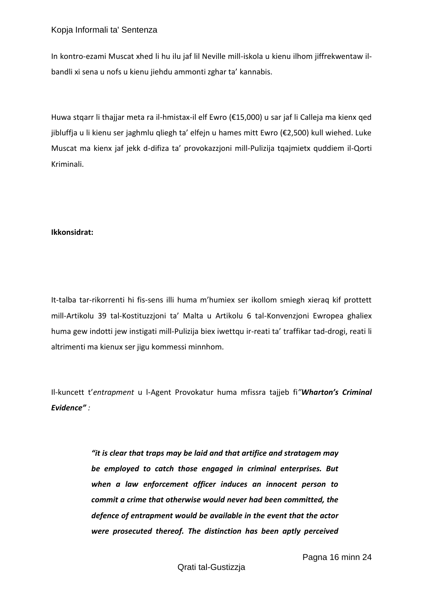In kontro-ezami Muscat xhed li hu ilu jaf lil Neville mill-iskola u kienu ilhom jiffrekwentaw ilbandli xi sena u nofs u kienu jiehdu ammonti zghar ta' kannabis.

Huwa stqarr li thajjar meta ra il-hmistax-il elf Ewro (€15,000) u sar jaf li Calleja ma kienx qed jibluffja u li kienu ser jaghmlu qliegh ta' elfejn u hames mitt Ewro (€2,500) kull wiehed. Luke Muscat ma kienx jaf jekk d-difiza ta' provokazzjoni mill-Pulizija tqajmietx quddiem il-Qorti Kriminali.

### **Ikkonsidrat:**

It-talba tar-rikorrenti hi fis-sens illi huma m'humiex ser ikollom smiegh xieraq kif prottett mill-Artikolu 39 tal-Kostituzzjoni ta' Malta u Artikolu 6 tal-Konvenzjoni Ewropea ghaliex huma gew indotti jew instigati mill-Pulizija biex iwettqu ir-reati ta' traffikar tad-drogi, reati li altrimenti ma kienux ser jigu kommessi minnhom.

Il-kuncett t'*entrapment* u l-Agent Provokatur huma mfissra tajjeb fi*"Wharton's Criminal Evidence" :*

> *"it is clear that traps may be laid and that artifice and stratagem may be employed to catch those engaged in criminal enterprises. But when a law enforcement officer induces an innocent person to commit a crime that otherwise would never had been committed, the defence of entrapment would be available in the event that the actor were prosecuted thereof. The distinction has been aptly perceived*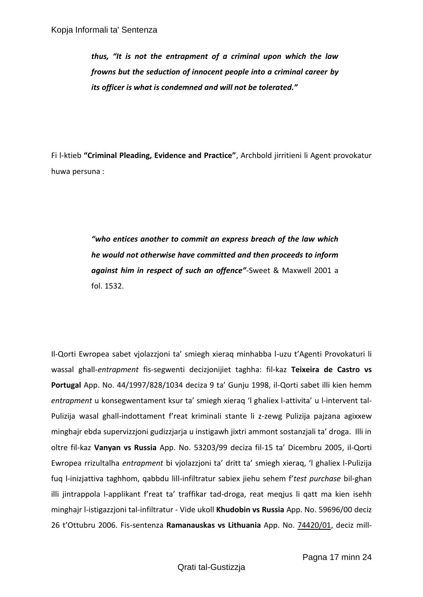*thus, "It is not the entrapment of a criminal upon which the law frowns but the seduction of innocent people into a criminal career by its officer is what is condemned and will not be tolerated."*

Fi l-ktieb **"Criminal Pleading, Evidence and Practice"**, Archbold jirritieni li Agent provokatur huwa persuna :

> *"who entices another to commit an express breach of the law which he would not otherwise have committed and then proceeds to inform against him in respect of such an offence"*-Sweet & Maxwell 2001 a fol. 1532.

Il-Qorti Ewropea sabet vjolazzjoni ta' smiegh xieraq minhabba l-uzu t'Agenti Provokaturi li wassal ghall-*entrapment* fis-segwenti decizjonijiet taghha: fil-kaz **Teixeira de Castro vs Portugal** App. No. 44/1997/828/1034 deciza 9 ta' Gunju 1998, il-Qorti sabet illi kien hemm *entrapment* u konsegwentament ksur ta' smiegh xieraq 'l ghaliex l-attivita' u l-intervent tal-Pulizija wasal ghall-indottament f'reat kriminali stante li z-zewg Pulizija pajzana agixxew minghajr ebda supervizzjoni gudizzjarja u instigawh jixtri ammont sostanzjali ta' droga. Illi in oltre fil-kaz **Vanyan vs Russia** App. No. 53203/99 deciza fil-15 ta' Dicembru 2005, il-Qorti Ewropea rrizultalha *entrapment* bi vjolazzjoni ta' dritt ta' smiegh xieraq, 'l ghaliex l-Pulizija fuq l-inizjattiva taghhom, qabbdu lill-infiltratur sabiex jiehu sehem f'*test purchase* bil-ghan illi jintrappola l-applikant f'reat ta' traffikar tad-droga, reat meqjus li qatt ma kien isehh minghajr l-istigazzjoni tal-infiltratur - Vide ukoll **Khudobin vs Russia** App. No. 59696/00 deciz 26 t'Ottubru 2006. Fis-sentenza **Ramanauskas vs Lithuania** App. No. [74420/01,](http://hudoc.echr.coe.int/sites/eng/Pages/search.aspx#{) deciz mill-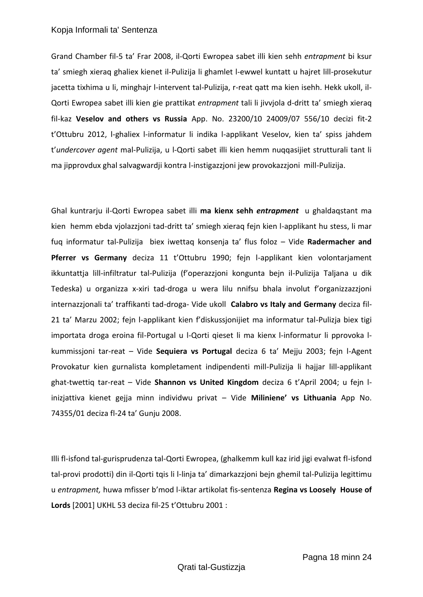#### Kopja Informali ta' Sentenza

Grand Chamber fil-5 ta' Frar 2008, il-Qorti Ewropea sabet illi kien sehh *entrapment* bi ksur ta' smiegh xieraq ghaliex kienet il-Pulizija li ghamlet l-ewwel kuntatt u hajret lill-prosekutur jacetta tixhima u li, minghajr l-intervent tal-Pulizija, r-reat qatt ma kien isehh. Hekk ukoll, il-Qorti Ewropea sabet illi kien gie prattikat *entrapment* tali li jivvjola d-dritt ta' smiegh xieraq fil-kaz **Veselov and others vs Russia** App. No. 23200/10 24009/07 556/10 decizi fit-2 t'Ottubru 2012, l-ghaliex l-informatur li indika l-applikant Veselov, kien ta' spiss jahdem t'*undercover agent* mal-Pulizija, u l-Qorti sabet illi kien hemm nuqqasijiet strutturali tant li ma jipprovdux ghal salvagwardji kontra l-instigazzjoni jew provokazzjoni mill-Pulizija.

Ghal kuntrarju il-Qorti Ewropea sabet illi **ma kienx sehh** *entrapment* u ghaldaqstant ma kien hemm ebda vjolazzjoni tad-dritt ta' smiegh xieraq fejn kien l-applikant hu stess, li mar fuq informatur tal-Pulizija biex iwettaq konsenja ta' flus foloz – Vide **Radermacher and Pferrer vs Germany** deciza 11 t'Ottubru 1990; fejn l-applikant kien volontarjament ikkuntattja lill-infiltratur tal-Pulizija (f'operazzjoni kongunta bejn il-Pulizija Taljana u dik Tedeska) u organizza x-xiri tad-droga u wera lilu nnifsu bhala involut f'organizzazzjoni internazzjonali ta' traffikanti tad-droga- Vide ukoll **Calabro vs Italy and Germany** deciza fil-21 ta' Marzu 2002; fejn l-applikant kien f'diskussjonijiet ma informatur tal-Pulizja biex tigi importata droga eroina fil-Portugal u l-Qorti qieset li ma kienx l-informatur li pprovoka lkummissjoni tar-reat – Vide **Sequiera vs Portugal** deciza 6 ta' Mejju 2003; fejn l-Agent Provokatur kien gurnalista kompletament indipendenti mill-Pulizija li hajjar lill-applikant ghat-twettiq tar-reat – Vide **Shannon vs United Kingdom** deciza 6 t'April 2004; u fejn linizjattiva kienet gejja minn individwu privat – Vide **Miliniene' vs Lithuania** App No. 74355/01 deciza fl-24 ta' Gunju 2008.

Illi fl-isfond tal-gurisprudenza tal-Qorti Ewropea, (ghalkemm kull kaz irid jigi evalwat fl-isfond tal-provi prodotti) din il-Qorti tqis li l-linja ta' dimarkazzjoni bejn ghemil tal-Pulizija legittimu u *entrapment,* huwa mfisser b'mod l-iktar artikolat fis-sentenza **Regina vs Loosely House of Lords** [2001] UKHL 53 deciza fil-25 t'Ottubru 2001 :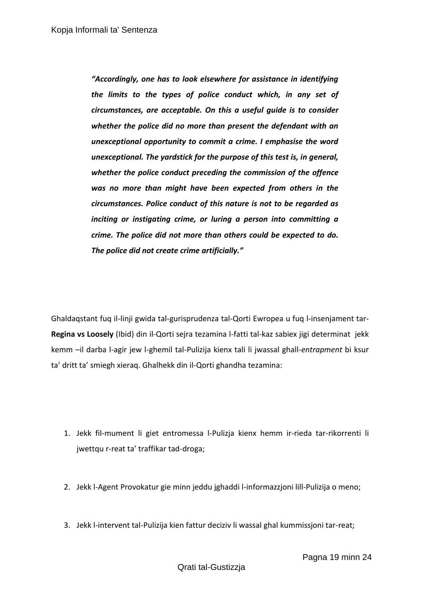*"Accordingly, one has to look elsewhere for assistance in identifying the limits to the types of police conduct which, in any set of circumstances, are acceptable. On this a useful guide is to consider whether the police did no more than present the defendant with an unexceptional opportunity to commit a crime. I emphasise the word unexceptional. The yardstick for the purpose of this test is, in general, whether the police conduct preceding the commission of the offence was no more than might have been expected from others in the circumstances. Police conduct of this nature is not to be regarded as inciting or instigating crime, or luring a person into committing a crime. The police did not more than others could be expected to do. The police did not create crime artificially."*

Ghaldaqstant fuq il-linji gwida tal-gurisprudenza tal-Qorti Ewropea u fuq l-insenjament tar-**Regina vs Loosely** (Ibid) din il-Qorti sejra tezamina l-fatti tal-kaz sabiex jigi determinat jekk kemm –il darba l-agir jew l-ghemil tal-Pulizija kienx tali li jwassal ghall-*entrapment* bi ksur ta' dritt ta' smiegh xieraq. Ghalhekk din il-Qorti ghandha tezamina:

- 1. Jekk fil-mument li giet entromessa l-Pulizja kienx hemm ir-rieda tar-rikorrenti li jwettqu r-reat ta' traffikar tad-droga;
- 2. Jekk l-Agent Provokatur gie minn jeddu jghaddi l-informazzjoni lill-Pulizija o meno;
- 3. Jekk l-intervent tal-Pulizija kien fattur deciziv li wassal ghal kummissjoni tar-reat;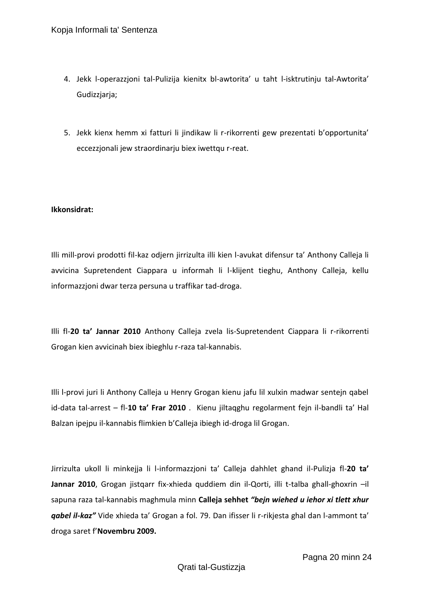- 4. Jekk l-operazzjoni tal-Pulizija kienitx bl-awtorita' u taht l-isktrutinju tal-Awtorita' Gudizzjarja;
- 5. Jekk kienx hemm xi fatturi li jindikaw li r-rikorrenti gew prezentati b'opportunita' eccezzjonali jew straordinarju biex iwettqu r-reat.

#### **Ikkonsidrat:**

Illi mill-provi prodotti fil-kaz odjern jirrizulta illi kien l-avukat difensur ta' Anthony Calleja li avvicina Supretendent Ciappara u informah li l-klijent tieghu, Anthony Calleja, kellu informazzjoni dwar terza persuna u traffikar tad-droga.

Illi fl-**20 ta' Jannar 2010** Anthony Calleja zvela lis-Supretendent Ciappara li r-rikorrenti Grogan kien avvicinah biex ibieghlu r-raza tal-kannabis.

Illi l-provi juri li Anthony Calleja u Henry Grogan kienu jafu lil xulxin madwar sentejn qabel id-data tal-arrest – fl-**10 ta' Frar 2010** . Kienu jiltaqghu regolarment fejn il-bandli ta' Hal Balzan ipejpu il-kannabis flimkien b'Calleja ibiegh id-droga lil Grogan.

Jirrizulta ukoll li minkejja li l-informazzjoni ta' Calleja dahhlet ghand il-Pulizja fl-**20 ta' Jannar 2010**, Grogan jistqarr fix-xhieda quddiem din il-Qorti, illi t-talba ghall-ghoxrin –il sapuna raza tal-kannabis maghmula minn **Calleja sehhet** *"bejn wiehed u iehor xi tlett xhur qabel il-kaz"* Vide xhieda ta' Grogan a fol. 79. Dan ifisser li r-rikjesta ghal dan l-ammont ta' droga saret f'**Novembru 2009.**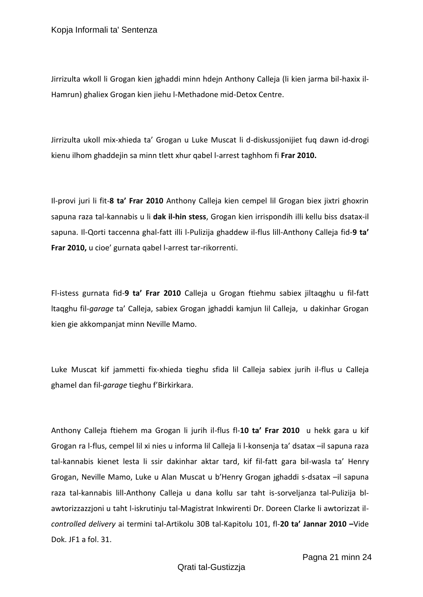Jirrizulta wkoll li Grogan kien jghaddi minn hdejn Anthony Calleja (li kien jarma bil-haxix il-Hamrun) ghaliex Grogan kien jiehu l-Methadone mid-Detox Centre.

Jirrizulta ukoll mix-xhieda ta' Grogan u Luke Muscat li d-diskussjonijiet fuq dawn id-drogi kienu ilhom ghaddejin sa minn tlett xhur qabel l-arrest taghhom fi **Frar 2010.**

Il-provi juri li fit-**8 ta' Frar 2010** Anthony Calleja kien cempel lil Grogan biex jixtri ghoxrin sapuna raza tal-kannabis u li **dak il-hin stess**, Grogan kien irrispondih illi kellu biss dsatax-il sapuna. Il-Qorti taccenna ghal-fatt illi l-Pulizija ghaddew il-flus lill-Anthony Calleja fid-**9 ta' Frar 2010,** u cioe' gurnata qabel l-arrest tar-rikorrenti.

Fl-istess gurnata fid-**9 ta' Frar 2010** Calleja u Grogan ftiehmu sabiex jiltaqghu u fil-fatt ltaqghu fil-*garage* ta' Calleja, sabiex Grogan jghaddi kamjun lil Calleja, u dakinhar Grogan kien gie akkompanjat minn Neville Mamo.

Luke Muscat kif jammetti fix-xhieda tieghu sfida lil Calleja sabiex jurih il-flus u Calleja ghamel dan fil-*garage* tieghu f'Birkirkara.

Anthony Calleja ftiehem ma Grogan li jurih il-flus fl-**10 ta' Frar 2010** u hekk gara u kif Grogan ra l-flus, cempel lil xi nies u informa lil Calleja li l-konsenja ta' dsatax –il sapuna raza tal-kannabis kienet lesta li ssir dakinhar aktar tard, kif fil-fatt gara bil-wasla ta' Henry Grogan, Neville Mamo, Luke u Alan Muscat u b'Henry Grogan jghaddi s-dsatax –il sapuna raza tal-kannabis lill-Anthony Calleja u dana kollu sar taht is-sorveljanza tal-Pulizija blawtorizzazzjoni u taht l-iskrutinju tal-Magistrat Inkwirenti Dr. Doreen Clarke li awtorizzat il*controlled delivery* ai termini tal-Artikolu 30B tal-Kapitolu 101, fl-**20 ta' Jannar 2010 –**Vide Dok. JF1 a fol. 31.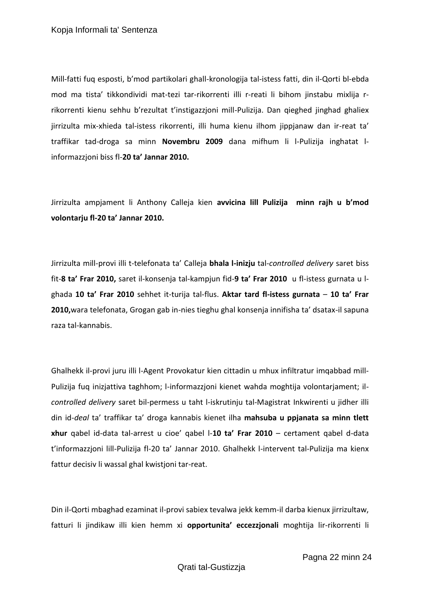Mill-fatti fuq esposti, b'mod partikolari ghall-kronologija tal-istess fatti, din il-Qorti bl-ebda mod ma tista' tikkondividi mat-tezi tar-rikorrenti illi r-reati li bihom jinstabu mixlija rrikorrenti kienu sehhu b'rezultat t'instigazzjoni mill-Pulizija. Dan qieghed jinghad ghaliex jirrizulta mix-xhieda tal-istess rikorrenti, illi huma kienu ilhom jippjanaw dan ir-reat ta' traffikar tad-droga sa minn **Novembru 2009** dana mifhum li l-Pulizija inghatat linformazzjoni biss fl-**20 ta' Jannar 2010.**

Jirrizulta ampjament li Anthony Calleja kien **avvicina lill Pulizija minn rajh u b'mod volontarju fl-20 ta' Jannar 2010.**

Jirrizulta mill-provi illi t-telefonata ta' Calleja **bhala l-inizju** tal-*controlled delivery* saret biss fit-**8 ta' Frar 2010,** saret il-konsenja tal-kampjun fid-**9 ta' Frar 2010** u fl-istess gurnata u lghada **10 ta' Frar 2010** sehhet it-turija tal-flus. **Aktar tard fl-istess gurnata** – **10 ta' Frar 2010,**wara telefonata, Grogan gab in-nies tieghu ghal konsenja innifisha ta' dsatax-il sapuna raza tal-kannabis.

Ghalhekk il-provi juru illi l-Agent Provokatur kien cittadin u mhux infiltratur imqabbad mill-Pulizija fuq inizjattiva taghhom; l-informazzjoni kienet wahda moghtija volontarjament; il*controlled delivery* saret bil-permess u taht l-iskrutinju tal-Magistrat Inkwirenti u jidher illi din id-*deal* ta' traffikar ta' droga kannabis kienet ilha **mahsuba u ppjanata sa minn tlett xhur** qabel id-data tal-arrest u cioe' qabel l-**10 ta' Frar 2010** – certament qabel d-data t'informazzjoni lill-Pulizija fl-20 ta' Jannar 2010. Ghalhekk l-intervent tal-Pulizija ma kienx fattur decisiv li wassal ghal kwistjoni tar-reat.

Din il-Qorti mbaghad ezaminat il-provi sabiex tevalwa jekk kemm-il darba kienux jirrizultaw, fatturi li jindikaw illi kien hemm xi **opportunita' eccezzjonali** moghtija lir-rikorrenti li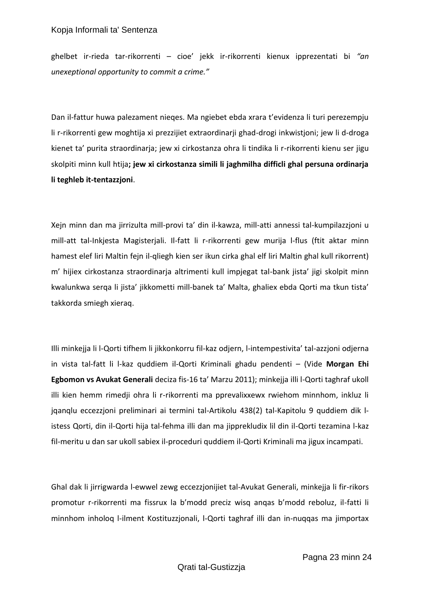#### Kopja Informali ta' Sentenza

ghelbet ir-rieda tar-rikorrenti – cioe' jekk ir-rikorrenti kienux ipprezentati bi *"an unexeptional opportunity to commit a crime."*

Dan il-fattur huwa palezament nieqes. Ma ngiebet ebda xrara t'evidenza li turi perezempju li r-rikorrenti gew moghtija xi prezzijiet extraordinarji ghad-drogi inkwistjoni; jew li d-droga kienet ta' purita straordinarja; jew xi cirkostanza ohra li tindika li r-rikorrenti kienu ser jigu skolpiti minn kull htija**; jew xi cirkostanza simili li jaghmilha difficli ghal persuna ordinarja li teghleb it-tentazzjoni**.

Xejn minn dan ma jirrizulta mill-provi ta' din il-kawza, mill-atti annessi tal-kumpilazzjoni u mill-att tal-Inkjesta Magisterjali. Il-fatt li r-rikorrenti gew murija l-flus (ftit aktar minn hamest elef liri Maltin fejn il-qliegh kien ser ikun cirka ghal elf liri Maltin ghal kull rikorrent) m' hijiex cirkostanza straordinarja altrimenti kull impjegat tal-bank jista' jigi skolpit minn kwalunkwa serqa li jista' jikkometti mill-banek ta' Malta, ghaliex ebda Qorti ma tkun tista' takkorda smiegh xieraq.

Illi minkejja li l-Qorti tifhem li jikkonkorru fil-kaz odjern, l-intempestivita' tal-azzjoni odjerna in vista tal-fatt li l-kaz quddiem il-Qorti Kriminali ghadu pendenti – (Vide **Morgan Ehi Egbomon vs Avukat Generali** deciza fis-16 ta' Marzu 2011); minkejja illi l-Qorti taghraf ukoll illi kien hemm rimedji ohra li r-rikorrenti ma pprevalixxewx rwiehom minnhom, inkluz li jqanqlu eccezzjoni preliminari ai termini tal-Artikolu 438(2) tal-Kapitolu 9 quddiem dik listess Qorti, din il-Qorti hija tal-fehma illi dan ma jipprekludix lil din il-Qorti tezamina l-kaz fil-meritu u dan sar ukoll sabiex il-proceduri quddiem il-Qorti Kriminali ma jigux incampati.

Ghal dak li jirrigwarda l-ewwel zewg eccezzjonijiet tal-Avukat Generali, minkejja li fir-rikors promotur r-rikorrenti ma fissrux la b'modd preciz wisq anqas b'modd reboluz, il-fatti li minnhom inholoq l-ilment Kostituzzjonali, l-Qorti taghraf illi dan in-nuqqas ma jimportax